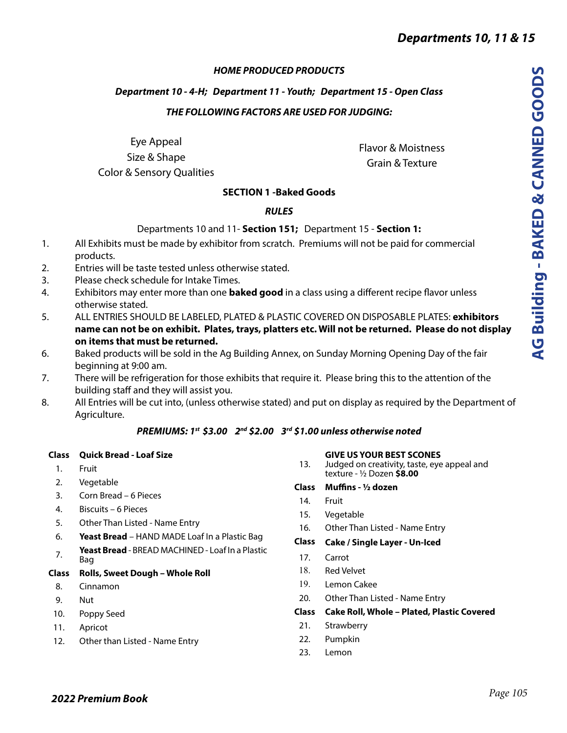# *HOME PRODUCED PRODUCTS*

# *Department 10 - 4-H; Department 11 - Youth; Department 15 - Open Class THE FOLLOWING FACTORS ARE USED FOR JUDGING:*

Eye Appeal Size & Shape Color & Sensory Qualities

Flavor & Moistness Grain & Texture

# **SECTION 1 -Baked Goods**

# *RULES*

## Departments 10 and 11- **Section 151;** Department 15 - **Section 1:**

- 1. All Exhibits must be made by exhibitor from scratch. Premiums will not be paid for commercial products.
- 2. Entries will be taste tested unless otherwise stated.
- 3. Please check schedule for Intake Times.
- 4. Exhibitors may enter more than one **baked good** in a class using a different recipe flavor unless otherwise stated.
- 5. ALL ENTRIES SHOULD BE LABELED, PLATED & PLASTIC COVERED ON DISPOSABLE PLATES: **exhibitors name can not be on exhibit. Plates, trays, platters etc. Will not be returned. Please do not display on items that must be returned.**
- 6. Baked products will be sold in the Ag Building Annex, on Sunday Morning Opening Day of the fair beginning at 9:00 am.
- 7. There will be refrigeration for those exhibits that require it. Please bring this to the attention of the building staff and they will assist you.
- 8. All Entries will be cut into, (unless otherwise stated) and put on display as required by the Department of Agriculture.

# *PREMIUMS: 1st \$3.00 2nd \$2.00 3rd \$1.00 unless otherwise noted*

## **Class Quick Bread - Loaf Size**

- 1. Fruit
- 2. Vegetable
- 3. Corn Bread 6 Pieces
- 4. Biscuits 6 Pieces
- 5. Other Than Listed Name Entry
- 6. **Yeast Bread** HAND MADE Loaf In a Plastic Bag
- 7. **Yeast Bread**  BREAD MACHINED Loaf In a Plastic Bag

# **Class Rolls, Sweet Dough – Whole Roll**

- 8. Cinnamon
- 9. Nut
- 10. Poppy Seed
- 11. Apricot
- 12. Other than Listed Name Entry

## **GIVE US YOUR BEST SCONES**

13. Judged on creativity, taste, eye appeal and texture - ½ Dozen **\$8.00**

## **Class Muffins - ½ dozen**

### 14. Fruit

- 15. Vegetable
- 16. Other Than Listed Name Entry

## **Class Cake / Single Layer - Un-Iced**

- 17. Carrot
- 18. Red Velvet
- 19. Lemon Cakee
- 20. Other Than Listed Name Entry

## **Class Cake Roll, Whole – Plated, Plastic Covered**

- 21. Strawberry
- 22. Pumpkin
- 23. Lemon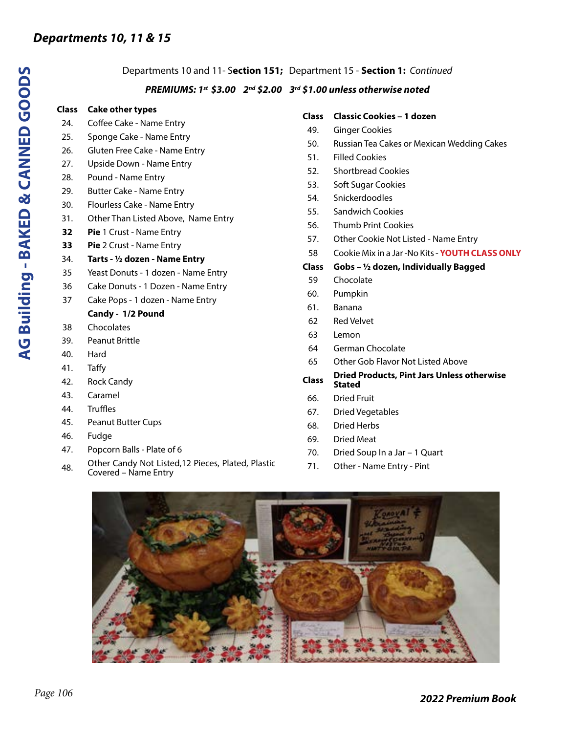### Departments 10 and 11- S**ection 151;** Department 15 - **Section 1:** *Continued*

### *PREMIUMS: 1st \$3.00 2nd \$2.00 3rd \$1.00 unless otherwise noted*

### **Class Cake other types**

- 24. Coffee Cake Name Entry
- 25. Sponge Cake Name Entry
- 26. Gluten Free Cake Name Entry
- 27. Upside Down Name Entry
- 28. Pound Name Entry
- 29. Butter Cake Name Entry
- 30. Flourless Cake Name Entry
- 31. Other Than Listed Above, Name Entry
- **32 Pie** 1 Crust Name Entry
- **33 Pie** 2 Crust Name Entry

### 34. **Tarts - ½ dozen - Name Entry**

- 35 Yeast Donuts 1 dozen Name Entry
- 36 Cake Donuts 1 Dozen Name Entry
- 37 Cake Pops 1 dozen Name Entry

### **Candy - 1/2 Pound**

- 38 Chocolates
- 39. Peanut Brittle
- 40. Hard
- 41. Taffy
- 42. Rock Candy
- 43. Caramel
- 44. Truffles
- 45. Peanut Butter Cups
- 46. Fudge
- 47. Popcorn Balls Plate of 6
- 48. Other Candy Not Listed,12 Pieces, Plated, Plastic Covered – Name Entry

#### **Class Classic Cookies – 1 dozen**

- 49. Ginger Cookies
- 50. Russian Tea Cakes or Mexican Wedding Cakes
- 51. Filled Cookies
- 52. Shortbread Cookies
- 53. Soft Sugar Cookies
- 54. Snickerdoodles
- 55. Sandwich Cookies
- 56. Thumb Print Cookies
- 57. Other Cookie Not Listed Name Entry
- 58 Cookie Mix in a Jar -No Kits **YOUTH CLASS ONLY**

### **Class Gobs – ½ dozen, Individually Bagged**

- 59 Chocolate
- 60. Pumpkin
- 61. Banana
- 62 Red Velvet
- 63 Lemon
- 64 German Chocolate
- 65 Other Gob Flavor Not Listed Above

#### **Class Dried Products, Pint Jars Unless otherwise Stated**

- 66. Dried Fruit
- 67. Dried Vegetables
- 68. Dried Herbs
- 69. Dried Meat
- 70. Dried Soup In a Jar 1 Quart
- 71. Other Name Entry Pint

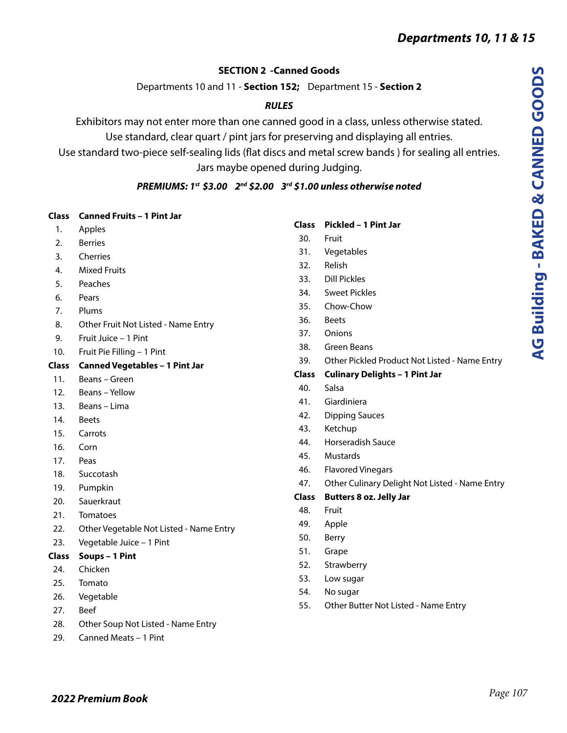# **SECTION 2 -Canned Goods**

Departments 10 and 11 - **Section 152;** Department 15 - **Section 2**

# *RULES*

Exhibitors may not enter more than one canned good in a class, unless otherwise stated.

Use standard, clear quart / pint jars for preserving and displaying all entries.

Use standard two-piece self-sealing lids (flat discs and metal screw bands ) for sealing all entries. Jars maybe opened during Judging.

# *PREMIUMS: 1st \$3.00 2nd \$2.00 3rd \$1.00 unless otherwise noted*

# **Class Canned Fruits – 1 Pint Jar**

- 1. Apples
- 2. Berries
- 3. Cherries
- 4. Mixed Fruits
- 5. Peaches
- 6. Pears
- 7. Plums
- 8. Other Fruit Not Listed Name Entry
- 9. Fruit Juice 1 Pint
- 10. Fruit Pie Filling 1 Pint

# **Class Canned Vegetables – 1 Pint Jar**

- 11. Beans Green
- 12. Beans Yellow
- 13. Beans Lima
- 14. Beets
- 15. Carrots
- 16. Corn
- 17. Peas
- 18. Succotash
- 19. Pumpkin
- 20. Sauerkraut
- 21. Tomatoes
- 22. Other Vegetable Not Listed Name Entry
- 23. Vegetable Juice 1 Pint
- **Class Soups 1 Pint**
- 24. Chicken
- 25. Tomato
- 26. Vegetable
- 27. Beef
- 28. Other Soup Not Listed Name Entry
- 29. Canned Meats 1 Pint

# **Class Pickled – 1 Pint Jar**

- 30. Fruit
- 31. Vegetables
- 32. Relish
- 33. Dill Pickles
- 34. Sweet Pickles
- 35. Chow-Chow
- 36. Beets
- 37. Onions
- 38. Green Beans
- 39. Other Pickled Product Not Listed Name Entry

# **Class Culinary Delights – 1 Pint Jar**

- 40. Salsa
- 41. Giardiniera
- 42. Dipping Sauces
- 43. Ketchup
- 44. Horseradish Sauce
- 45. Mustards
- 46. Flavored Vinegars
- 47. Other Culinary Delight Not Listed Name Entry

# **Class Butters 8 oz. Jelly Jar**

- 48. Fruit
- 49. Apple
- 50. Berry
- 51. Grape
- 52. Strawberry
- 53. Low sugar
- 54. No sugar
- 55. Other Butter Not Listed Name Entry